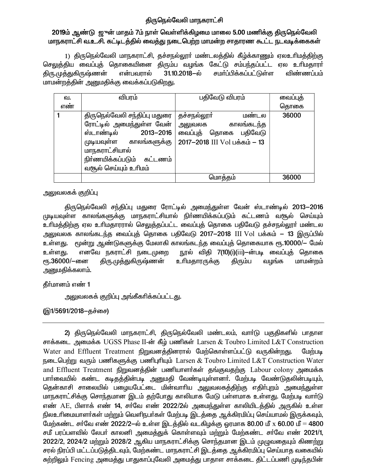# திருநெல்வேலி மாநகராட்சி

# 2019ம் ஆண்டு ஜுன் மாதம் 7ம் நாள் வெள்ளிக்கிழமை மாலை 5.00 மணிக்கு திருநெல்வேலி மாநகராட்சி வ.உ.சி. கட்டிடத்தில் வைத்து நடைபெற்ற மாமன்ற சாதாரண கூட்ட நடவடிக்கைகள்

1) திருநெல்வேலி மாநகராட்சி, தச்சநல்லூா் மண்டலத்தில் கீழ்க்காணும் ஏலஉரிமத்திற்கு செலுத்திய வைப்புத் தொகையினை திரும்ப வழங்க கேட்டு சம்பந்தப்பட்ட ஏல உரிமதாரா் திரு.முத்துகிருஷ்ணன் என்பவாால் 31.10.2018-ல் சமா்ப்பிக்கப்பட்டுள்ள விண்ணப்பம் மாமன்றத்தின் அனுமதிக்கு வைக்கப்படுகிறது.

| ഖ.  | விபரம்                                                                                                                                                                                     | பதிவேடு விபரம்                                                                                            | வைப்புத் |
|-----|--------------------------------------------------------------------------------------------------------------------------------------------------------------------------------------------|-----------------------------------------------------------------------------------------------------------|----------|
| எண் |                                                                                                                                                                                            |                                                                                                           | தொகை     |
|     | திருநெல்வேலி சந்திப்பு மதுரை<br>ரோட்டில் அமைந்துள்ள வேன்<br>$2013 - 2016$<br>ஸ்டாண்டில்<br>முடியவுள்ள காலங்களுக்கு<br>மாநகராட்சியால்<br>நிா்ணயிக்கப்படும் கட்டணம்<br>வசூல் செய்யும் உரிமம் | தச்சநல்லூா்<br>மண்டல<br>காலங்கடந்த<br>அலுவலக<br>வைப்புத் தொகை<br>பகிவேடு<br>2017-2018 III Vol பக்கம் - 13 | 36000    |
|     |                                                                                                                                                                                            | மொத்தம்                                                                                                   | 36000    |

அலுவலகக் குறிப்பு

திருநெல்வேலி சந்திப்பு மதுரை ரோட்டில் அமைந்துள்ள வேன் ஸ்டாண்டில் 2013—2016 முடியவுள்ள காலங்களுக்கு மாநகராட்சியால் நிர்ணயிக்கப்படும் கட்டணம் வசூல் செய்யும் உரிமத்திற்கு ஏல உரிமதாரரால் செலுத்தப்பட்ட வைப்புத் தொகை பதிவேடு தச்சநல்லூர் மண்டல அலுவலக காலங்கடந்த வைப்புத் தொகை பதிவேடு 2017—2018 III Vol பக்கம் — 13 இருப்பில் உள்ளது. மூன்று ஆண்டுகளுக்கு மேலாகி காலங்கடந்த வைப்புத் தொகையாக ரூ.10000/— மேல் எனவே நகராட்சி நடைமுறை நூல் விதி 7(10)(i)(iii)—ன்படி வைப்புத் தொகை உள்ளது. ரு.36000/-ளை திரு முத்துகிருஷ்ணன் உரிமதாரருக்கு மாமன்றம் திரும்ப வழங்க அனுமதிக்கலாம்.

தீர்மானம் எண் 1

அலுவலகக் குறிப்பு அங்கீகரிக்கப்பட்டது.

(இ1/5691/2018–தச்சை)

2) திருநெல்வேலி மாநகராட்சி, திருநெல்வேலி மண்டலம், வாா்டு பகுதிகளில் பாதாள சாக்கடை அமைக்க UGSS Phase II-ன் கீழ் பணிகள் Larsen & Toubro Limited L&T Construction Water and Effluent Treatment நிறுவனத்தினரால் மேற்கொள்ளப்பட்டு வருகின்றது. மேற்படி நடைபெற்று வரும் பணிகளுக்கு பணிபுரியும் Larsen & Toubro Limited L&T Construction Water and Effluent Treatment நிறுவனத்தின் பணியாளர்கள் தங்குவதற்கு Labour colony அமைக்க பாா்வையில் கண்ட கடிதத்தின்படி அனுமதி வேண்டியுள்ளனா். மேற்படி வேண்டுதலின்படியும். தென்காசி சாலையில் பழையபேட்டை மின்வாரிய அலுவலகத்திற்கு எதிா்புறம் அமைந்துள்ள மாநகராட்சிக்கு சொந்தமான இடம் தற்போது காலியாக மேடு பள்ளமாக உள்ளது. மேற்படி வார்டு எண் AE, பிளாக் எண் 14, சா்வே எண் 2022/2ல் அமைந்துள்ள காலியிடத்தில் அருகில் உள்ள நிலஉரிமையாளா்கள் மற்றும் வெளிநபா்கள் மேற்படி இடத்தை ஆக்கிரமிப்பு செய்யாமல் இருக்கவும், மேற்கண்ட சர்வே எண் 2022/2-ல் உள்ள இடத்தில் வடகிழக்கு ஒரமாக 80.00 மீ x 60.00 மீ = 4800 சமீ பரப்பளவில் லேபர் காலனி அமைத்துக் கொள்ளவும் மற்றும் மேற்கண்ட சர்வே எண் 2021/1, 2022/2, 2024/2 மற்றும் 2028/2 ஆகிய மாநகராட்சிக்கு சொந்தமான இடம் முமுவதையும் கிணற்று சரல் நிரப்பி மட்டப்படுத்திடவும், மேற்கண்ட மாநகராட்சி இடத்தை ஆக்கிரமிப்பு செய்யாத வகையில் சுற்றிலும் Fencing அமைத்து பாதுகாப்புவேலி அமைத்து பாதாள சாக்கடை திட்டப்பணி முடிந்தபின்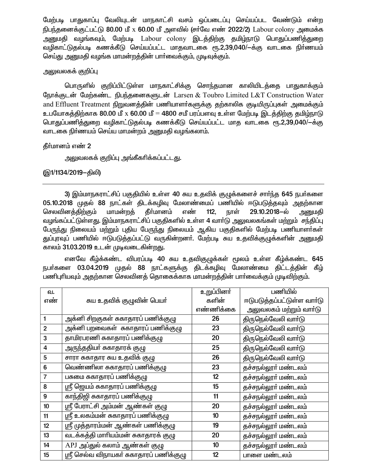மேற்படி பாதுகாப்பு வேலியுடன் மாநகாட்சி வசம் ஒப்படைப்பு செய்யப்பட வேண்டும் என்ற நிபந்தனைக்குட்பட்டு 80.00 மீ x 60.00 மீ அளவில் (சர்வே எண் 2022/2) Labour colony அமைக்க அனுமதி வழங்கவும், மேற்படி Labour colony இடத்திற்கு தமிழ்நாடு பொதுப்பணித்துறை வழிகாட்டுதல்படி கணக்கீடு செய்யப்பட்ட மாதவாடகை ரூ.2,39,040/—க்கு வாடகை நிர்ணயம் செய்து அனுமதி வழங்க மாமன்றத்தின் பார்வைக்கும், முடிவுக்கும்.

### அலுவலகக் குறிப்பு

பொருளில் குறிப்பிட்டுள்ள மாநகாட்சிக்கு சொந்தமான காலியிடத்தை பாதுகாக்கும் நோக்குடன் மேற்கண்ட நிபந்தனைகளுடன் Larsen & Toubro Limited L&T Construction Water and Effluent Treatment நிறுவனத்தின் பணியாளர்களுக்கு தற்காலிக குடியிருப்புகள் அமைக்கும் உபயோகத்திற்காக 80.00 மீ x 60.00 மீ = 4800 சமீ பரப்பளவு உள்ள மேற்படி இடத்திற்கு தமிழ்நாடு பொதுப்பணித்துறை வழிகாட்டுதல்படி கணக்கீடு செய்யப்பட்ட மாத வாடகை ரூ.2,39,040/-க்கு வாடகை நிர்ணயம் செய்ய மாமன்றம் அனுமதி வழங்கலாம்.

## தீர்மானம் எண் 2

அலுவலகக் குறிப்பு அங்கீகரிக்கப்பட்டது.

### (இ1/1134/2019–திலி)

3) இம்மாநகராட்சிப் பகுதியில் உள்ள 40 சுய உதவிக் குழுக்களைச் சார்ந்த 645 நபர்களை 05.10.2018 முதல் 88 நாட்கள் திடக்கழிவு மேலாண்மைப் பணியில் ஈடுபடுத்தவும் அதற்கான செலவினக்கிற்கும் மாமன்றக் கீா்மானம் எண் 29.10.2018-ல்  $112.$ நாள் அனுமகி வழங்கப்பட்டுள்ளது. இம்மாநகராட்சிப் பகுதிகளில் உள்ள 4 வார்டு அலுவலகங்கள் மற்றும் சந்திப்பு பேருந்து நிலையம் மற்றும் புதிய பேருந்து நிலையம் ஆகிய பகுதிகளில் மேற்படி பணியாளர்கள் துப்புரவுப் பணியில் ஈடுபடுத்தப்பட்டு வருகின்றனர். மேற்படி சுய உதவிக்குழுக்களின் அனுமதி காலம் 31.03.2019 உடன் முடிவடைகின்றது.

எனவே கீழ்க்கண்ட விபரப்படி 40 சுய உதவிகுழுக்கள் மூலம் உள்ள கீழ்க்கண்ட 645 நபர்களை 03.04.2019 முதல் 88 நாட்களுக்கு திடக்கழிவு மேலாண்மை திட்டத்தின் கீழ் .<br>பணிபுரியவும் அதற்கான செலவினத் தொகைக்காக மாமன்றத்தின் பார்வைக்கும் முடிவிற்கும்.

| வ.          |                                         | உறுப்பினர்      | பணியில்                    |
|-------------|-----------------------------------------|-----------------|----------------------------|
| எண்         | சுய உதவிக் குழுவின் பெயா்               | களின்           | ஈடுபடுத்தப்பட்டுள்ள வார்டு |
|             |                                         | எண்ணிக்கை       | அலுவலகம் மற்றும் வாா்டு    |
|             | அக்னி சிறகுகள் சுகாதாரப் பணிக்குழு      | 26              | திருநெல்வேலி வாா்டு        |
| $\mathbf 2$ | அக்னி பறவைகள்  சுகாதாரப் பணிக்குழு      | 23              | திருநெல்வேலி வாா்டு        |
| 3           | தாமிரபரணி சுகாதாரப் பணிக்குழு           | 20              | திருநெல்வேலி வாா்டு        |
| 4           | அருந்ததியா் சுகாதாரக் குழு              | 25              | திருநெல்வேலி வாா்டு        |
| 5           | சாரா சுகாதார சுய உதவிக் குழு            | 26              | திருநெல்வேலி வாா்டு        |
| 6           | வெண்ணிலா சுகாதாரப் பணிக்குழு            | 23              | தச்சநல்லூா் மண்டலம்        |
| 7           | பசுமை சுகாதாரப் பணிக்குழு               | 12              | தச்சநல்லூா் மண்டலம்        |
| 8           | ஸ்ரீ ஜெயம் சுகாதாரப் பணிக்குழு          | 15              | தச்சநல்லூா் மண்டலம்        |
| 9           | காந்திஜி சுகாதாரப் பணிக்குழு            | 11              | தச்சநல்லூா் மண்டலம்        |
| 10          | ஸ்ரீ பேராட்சி அம்மன் ஆண்கள் குழு        | 20              | தச்சநல்லூா் மண்டலம்        |
| 11          | ஸ்ரீ உலகம்மன் சுகாதாரப் பணிக்குழு       | 10 <sup>1</sup> | தச்சநல்லூா் மண்டலம்        |
| 12          | ஸ்ரீ முத்தாரம்மன் ஆண்கள் பணிக்குழு      | 19              | தச்சநல்லூா் மண்டலம்        |
| 13          | வடக்கத்தி மாரியம்மன் சுகாதாரக் குழு     | 20              | தச்சநல்லூா் மண்டலம்        |
| 14          | APJ அப்துல் கலாம் ஆண்கள் குழு           | 10              | தச்சநல்லூா் மண்டலம்        |
| 15          | ஸ்ரீ செல்வ விநாயகா் சுகாதாரப் பணிக்குழு | 12              | பாளை மண்டலம்               |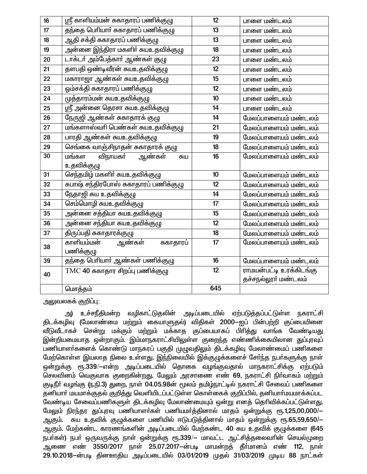| 16 | ஸ்ரீ காளியம்மன் சுகாதாரப் பணிக்குழு   | 12              | பாளை மண்டலம்                |
|----|---------------------------------------|-----------------|-----------------------------|
| 17 | தந்தை பெரியாா் சுகாதாரப் பணிக்குழு    | 13              | பாளை மண்டலம்                |
| 18 | ஆதி சக்தி சுகாதாரப் பணிக்குழு         | 13              | பாளை மண்டலம்                |
| 19 | அன்னை இந்திரா மகளிா் சுயஉதவிக்குழு    | 18              | பாளை மண்டலம்                |
| 20 | டாக்டர் அம்பேத்கார் ஆண்கள் குழு       | 23              | பாளை மண்டலம்                |
| 21 | தளபதி ஒண்டிவீரன் சுயஉதவிக்குழு        | 12              | பாளை மண்டலம்                |
| 22 | மகாராஜா ஆண்கள் சுயஉதவிக்குழு          | 15              | பாளை மண்டலம்                |
| 23 | ஓம்சக்தி சுகாதாரப் பணிக்குழு          | 12              | பாளை மண்டலம்                |
| 24 | முத்தாரம்மன் சுயஉதவிக்குழு            | 10              | பாளை மண்டலம்                |
| 25 | ஸ்ரீ அன்னை தெரசா சுயஉதவிக்குழு        | 14              | பாளை மண்டலம்                |
| 26 | <u>நேருஜி ஆண்கள் சுகாதாரக் குழு</u>   | 14              | மேலப்பாளையம் மண்டலம்        |
| 27 | மங்களாஸ்வாி பெண்கள் சுயஉதவிக்குழு     | 21              | மேலப்பாளையம் மண்டலம்        |
| 28 | பாரதி ஆண்கள் சுயஉதவிக்குழு            | 19              | மேலப்பாளையம் மண்டலம்        |
| 29 | செங்கை வாஞ்சிநாதன் சுகாதாரக் குழு     | 18              | மேலப்பாளையம் மண்டலம்        |
| 30 | மங்கள<br>விநாயகா்<br>ஆண்கள்<br>சுய    | 16              | மேலப்பாளையம் மண்டலம்        |
|    | உதவிக்குழு                            |                 |                             |
| 31 | செந்தமிழ் மகளிா் சுயஉதவிக்குழு        | 10              | மேலப்பாளையம் மண்டலம்        |
| 32 | சுபாஷ் சந்திரபோஸ் சுகாதாரப் பணிக்குழு | 12              | மேலப்பாளையம் மண்டலம்        |
| 33 | நேதாஜி சுய உதவிக்குழு                 | 14              | மேலப்பாளையம் மண்டலம்        |
| 34 | செம்மொழி சுயஉதவிக்குழு                | 17              | மேலப்பாளையம் மண்டலம்        |
| 35 | <u>அன்னை சத்தியா சுயஉதவிக்குழு</u>    | 15              | மேலப்பாளையம் மண்டலம்        |
| 36 | அன்னை சந்தியா சுயஉதவிக்குழு           | $\overline{12}$ | மேலப்பாளையம் மண்டலம்        |
| 37 | திருப்பதி சுகாதாரக்குழு               | 18              | மேலப்பாளையம் மண்டலம்        |
| 38 | காளியம்மன்<br>ஆண்கள்<br>சுகாதாரப்     | 17              | மேலப்பாளையம் மண்டலம்        |
|    | பணிக்குழு                             |                 |                             |
| 39 | தந்தை பெரியார் ஆண்கள் பணிக்குழு       | 16              | மேலப்பாளையம் மண்டலம்        |
| 40 | $TMC$ 40 சுகாதார சிறப்பு பணிக்குழு    | 12              | <br>ராமயன்பட்டி உரக்கிடங்கு |
|    |                                       |                 | தச்சநல்லூா் மண்டலம்         |
|    | மொத்தம்                               | 645             |                             |

அலுவலகக் குறிப்பு:

அ) உச்சநீதிமன்ற வழிகாட்டுதலின் அடிப்படையில் ஏற்படுத்தப்பட்டுள்ள நகராட்சி திடக்கழிவு (மேலாண்மை மற்றும் கையாளுதல்) விதிகள் 2000—ஐப் பின்பற்றி குப்பையினை .<br>வீடுவீடாகச் சென்று மக்கும் மற்றும் மக்காத குப்பையாகப் பிரித்து வாங்க வேண்டியது இன்றியமையாத ஒன்றாகும். இம்மாநகராட்சியிலுள்ள குறைந்த எண்ணிக்கையிலான துப்புரவுப் .<br>பணியாளா்களைக் கொண்டு மாநகரப் பகுதி முழுவதிலும் திடக்கழிவு மேலாண்மைப் பணிகளை .<br>மேற்கொள்ள இயலாத நிலை உள்ளது. இந்நிலையில் இக்குழுக்களைச் சோ்ந்த நபா்களுக்கு நாள் ஒன்றுக்கு ரூ.339/—என்ற அடிப்படையில் தொகை வழங்குவதால் மாநகராட்சிக்கு ஏற்படும் செலவினம் வெகுவாக குறைகின்றது. மேலும் அரசாணை எண் 69, நகராட்சி நிர்வாகம் மற்றும் குடிநீா் வழங்கு (ந.நி.3) துறை, நாள் 04.05.98ன் மூலம் தமிழ்நாட்டில் நகராட்சி சேவைப் பணிகளை .<br>தனியார் மயமாக்குதல் குறித்து வெளியிடப்பட்டுள்ள கொள்கைக் குறிப்பில், தனியார்மயமாக்கப்பட வேண்டிய சேவைப்பணிகளுள் திடக்கழிவு மேலாண்மையும் ஒன்று எனத் தெரிவிக்கப்பட்டுள்ளது. மேலும் நிரந்தர துப்புரவு பணியாளர்கள் பணியமர்த்தினால் மாதம் ஒன்றுக்கு ரூ.1,25,00,000/-ஆகும். சுய உதவிக் குழுக்களை பணியில் ஈடுபடுத்தினால் மாதம் ஒன்றுக்கு ரூ.65,59,650/-ஆகும். மேற்கண்ட காரணங்களின் அடிப்படையில் மேற்கண்ட 40 சுய உதவிக் குழுக்களை (645 நபர்கள்) நபர் ஒருவருக்கு நாள் ஒன்றுக்கு ரூ.339/– மாவட்ட ஆட்சித்தலைவரின் செயல்முறை .<br>ஆணை எண் 3550/2017 நாள் 25.07.2017–ன்படி மாமன்றத் தீர்மானம் எண் 112, நாள் 29.10.2018-ன்படி தினஊதிய அடிப்படையில் 03/01/2019 முதல் 31/03/2019 முடிய 88 நாட்கள்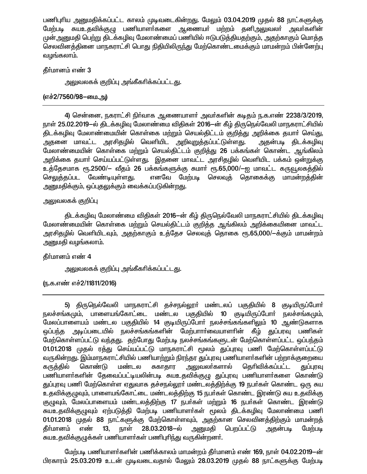பணிபுரிய அனுமதிக்கப்பட்ட காலம் முடிவடைகின்றது. மேலும் 03.04.2019 முதல் 88 நாட்களுக்கு மேற்படி சுயஉதவிக்குழு பணியாளா்களை ஆணையா் மற்றம் தனிஅலுவலா் அவா்களின் முன் அனுமதி பெற்று திடக்கழிவு மேலாண்மைப் பணியில் ஈடுபடுத்தியதற்கும், அதற்காகும் மொத்த செலவினத்தினை மாநகராட்சி பொது நிதியிலிருந்து மேற்கொண்டமைக்கும் மாமன்றம் பின்னேற்பு வழங்கலாம்.

#### கீர்மானம் எண் 3

அலுவலகக் குறிப்பு அங்கீகாிக்கப்பட்டது.

### (எச்2/7560/98-யை.அ)

4) சென்னை, நகராட்சி நிர்வாக ஆணையாளர் அவர்களின் கடிதம் ந.க.எண் 2238/3/2019, நாள் 25.02.2019-ல் திடக்கழிவு மேலாண்மை விதிகள் 2016-ன் கீழ் திருநெல்வேலி மாநகராட்சியில் திடக்கழிவு மேலாண்மையின் கொள்கை மற்றும் செயல்திட்டம் குறித்து அறிக்கை தயாா் செய்து, அதனை மாவட்ட அரசிதழில் வெளியிட <u>அறிவுறுத்த</u>ப்பட்டுள்ளது. அதன்படி திடக்கழிவு மேலாண்மையின் கொள்கை மற்றும் செயல்திட்டம் குறித்து 26 பக்கங்கள் கொண்ட ஆங்கிலம் அறிக்கை தயாா் செய்யப்பட்டுள்ளது. இதனை மாவட்ட அரசிதழில் வெளியிட பக்கம் ஒன்றுக்கு உத்தேசமாக ரூ.2500/— வீதம் 26 பக்கங்களுக்கு சுமார் ரூ.65,000/—ஐ மாவட்ட கருவூலகத்தில் செலுத்தப்பட வேண்டியுள்ளது. எனவே மேற்படி செலவுத் தொகைக்கு மாமன்றத்தின் அனுமதிக்கும், ஒப்புதலுக்கும் வைக்கப்படுகின்றது.

### அலுவலகக் குறிப்பு

திடக்கழிவு மேலாண்மை விதிகள் 2016-ன் கீழ் திருநெல்வேலி மாநகராட்சியில் திடக்கழிவு மேலாண்மையின் கொள்கை மற்றும் செயல்திட்டம் குறித்த ஆங்கிலம் அறிக்கையினை மாவட்ட அரசிதழில் வெளியிடவும், அதற்காகும் உத்தேச செலவுத் தொகை ரூ.65,000/—க்கும் மாமன்றம் அனுமதி வழங்கலாம்.

## தீர்மானம் எண் 4

<u>அலுவலகக் குறிப்பு அங்கீகரிக்கப்பட்டது.</u>

ரு.க.எண் எச்2/11811/2016)

5) திருநெல்வேலி மாநகராட்சி தச்சநல்லூா் மண்டலப் பகுதியில் 8 குடியிருப்போா் நலச்சங்கமும், பாளையங்கோட்டை மண்டல பகுதியில் 10 குடியிருப்போர் நலச்சங்கமும், மேலப்பாளையம் மண்டல பகுதியில் 14 குடியிருப்போர் நலச்சங்கங்களிலும் 10 ஆண்டுகளாக அடிப்படையில் நலச்சங்கங்களின் மேற்பாாா்வையாளாின் கீழ் துப்பரவு பணிகள் ஒப்பந்த மேற்கொள்ளப்பட்டு வந்தது. தற்போது மேற்படி நலச்சங்கங்களுடன் மேற்கொள்ளப்பட்ட ஒப்பந்தம் 01.01.2018 முதல் ரத்து செய்யப்பட்டு மாநகராட்சி மூலம் துப்புரவு பணி மேற்கொள்ளப்பட்டு வருகின்றது. இம்மாநகராட்சியில் பணியாற்றும் நிரந்தர துப்புரவு பணியாளர்களின் பற்றாக்குறையை கொண்டு மண்டல சுகாகார அலுவலா்களால் தெரிவிக்கப்பட்ட கருத்தில் துப்புரவு பணியாளா்களின் தேவைப்பட்டியலின்படி சுயஉதவிக்குழு துப்புரவு பணியாளா்களை கொண்டு துப்புரவு பணி மேற்கொள்ள ஏதுவாக தச்சநல்லூா் மண்டலத்திற்க்கு 19 நபா்கள் கொண்ட ஒரு சுய உதவிக்குழுவும், பாளையங்கோட்டை மண்டலத்திற்கு 15 நபர்கள் கொண்ட இரண்டு சுய உதவிக்கு குமுவும், மேலப்பாளையம் மண்டலத்திற்கு 17 நபர்கள் மற்றும் 16 நபர்கள் கொண்ட இரண்டு சுயஉதவிக்குழுவும் ஏற்படுத்தி மேற்படி பணியாளா்கள் மூலம் திடக்கழிவு மேலாண்மை பணி 01.01.2018 முதல் 88 நாட்களுக்கு மேற்கொள்ளவும், அதற்கான செலவினத்திற்கும் மாமன்றத் நாள்  $28.03.2018 - \dot{\omega}$ பெறப்பட்டு கீா்மானம் எண்  $13,$ அனுமகி அதன்படி மேற்படி சுயஉதவிக்குழுக்கள் பணியாளா்கள் பணிபுாிந்து வருகின்றனா்.

மேற்படி பணியாளர்களின் பணிக்காலம் மாமன்றம் தீர்மானம் எண் 169, நாள் 04.02.2019—ன் பிரகாரம் 25.03.2019 உடன் முடிவடைவதால் மேலும் 28.03.2019 முதல் 88 நாட்களுக்கு மேற்படி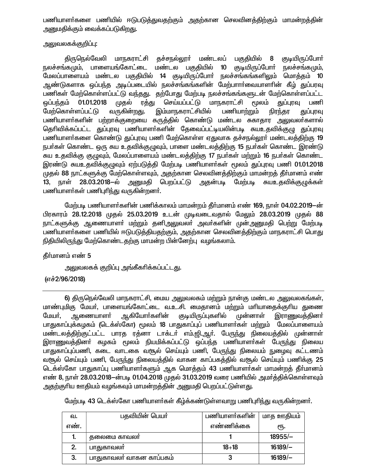பணியாளா்களை பணியில் ஈடுபடுத்துவதற்கும் அதற்கான செலவினத்திற்கும் மாமன்றத்தின் அனுமதிக்கும் வைக்கப்படுகிறது.

### அலுவலகக்குறிப்பு:

திருநெல்வேலி மாநகராட்சி குச்சநல்லூா் மண்டலப் பகுதியில் 8 குடியிருப்போர் நலச்சங்கமும். பாளையங்கோட்டை மண்டல பகுதியில்  $10$ குடியிருப்போர் நலச்சங்கமும், மேலப்பாளையம் மண்டல பகுதியில் 14 குடியிருப்போர் நலச்சங்கங்களிலும் மொத்தம் 10 ஆண்டுகளாக ஒப்பந்த அடிப்படையில் நலச்சங்கங்களின் மேற்பாாா்வையாளாின் கீழ் துப்பரவு பணிகள் மேற்கொள்ளப்பட்டு வந்தது. தற்போது மேற்படி நலச்சங்கங்களுடன் மேற்கொள்ளப்பட்ட செய்யப்பட்டு மாநகராட்சி மூலம் 01.01.2018 முதல் ரத்து துப்புரவு பணி வப்பந்தம் மேற்கொள்ளப்பட்டு வருகின்றது. இம்மாநகராட்சியில் பணியாற்றும் நிரந்தர குப்பாவு பணியாளா்களின் பற்றாக்குறையை கருத்தில் கொண்டு மண்டல சுகாதார அலுவலா்களால் தெரிவிக்கப்பட்ட துப்புரவு பணியாளர்களின் தேவைப்பட்டியலின்படி சுயஉதவிக்குழு துப்புரவு பணியாளர்களை கொண்டு துப்புரவு பணி மேற்கொள்ள ஏதுவாக தச்சநல்லூர் மண்டலத்திற்கு 19 நபர்கள் கொண்ட ஒரு சுய உதவிக்குழுவும், பாளை மண்டலத்திற்கு 15 நபர்கள் கொண்ட இரண்டு சுய உதவிக்கு குழுவும், மேலப்பாளையம் மண்டலத்திற்கு 17 நபர்கள் மற்றும் 16 நபர்கள் கொண்ட இரண்டு சுயஉதவிக்குழுவும் ஏற்படுத்தி மேற்படி பணியாளர்கள் மூலம் துப்புரவு பணி 01.01.2018 முதல் 88 நாட்களுக்கு மேற்கொள்ளவும், அதற்கான செலவினத்திற்கும் மாமன்றத் தீர்மானம் எண் 13, நாள் 28.03.2018–ல் அனுமதி பெறப்பட்டு அதன்படி மேற்படி சுயஉதவிக்குழுக்கள் பணியாளர்கள் பணிபுரிந்து வருகின்றனர்.

மேற்படி பணியாளர்களின் பணிக்காலம் மாமன்றம் தீர்மானம் எண் 169, நாள் 04.02.2019—ன் பிரகாரம் 28.12.2018 முதல் 25.03.2019 உடன் முடிவடைவதால் மேலும் 28.03.2019 முதல் 88 நாட்களுக்கு ஆணையாளா் மற்றும் தனிஅலுவலா் அவா்களின் முன்அனுமதி பெற்று மேற்படி பணியாளர்களை பணியில் ஈடுபடுத்தியதற்கும், அதற்கான செலவினத்திற்கும் மாநகராட்சி பொது நிதியிலிருந்து மேற்கொண்டதற்கு மாமன்ற பின்னேற்பு வழங்கலாம்.

#### தீர்மானம் எண் 5

அலுவலகக் குறிப்பு அங்கீகரிக்கப்பட்ட<u>த</u>ு.

## (எச்2/96/2018)

6) திருநெல்வேலி மாநகராட்சி, மைய அலுவலகம் மற்றும் நான்கு மண்டல அலுவலகங்கள், மாண்புமிகு மேயர், பாளையங்கோட்டை வ.உ.சி. மைதானம் மற்றும் மரியாதைக்குரிய துணை மேயர், <u>ஆணையாளா்</u> ஆகியோா்களின் குடியிருப்புகளில் முன்னாள் இராணுவத்தினா் பாதுகாப்புக்கழகம் (டெக்ஸ்கோ) மூலம் 18 பாதுகாப்புப் பணியாளா்கள் மற்றும் மேலப்பாளையம் மண்டலத்திற்குட்பட்ட பாரத ரத்னா டாக்டர் எம்.ஜி.ஆர். பேருந்து நிலையத்தில் முன்னாள் இராணுவத்தினா் கழகம் மூலம் நியமிக்கப்பட்டு ஒப்பந்த பணியாளா்கள் பேருந்து நிலைய பாதுகாப்புப்பணி, கடை வாடகை வசூல் செய்யும் பணி, பேருந்து நிலையம் நுழைவு கட்டணம் வரூல் செய்யும் பணி, பேருந்து நிலையத்தில் வாகன காப்பகத்தில் வரூல் செய்யும் பணிக்கு 25 டெக்ஸ்கோ பாதுகாப்பு பணியாளர்களும் ஆக மொத்தம் 43 பணியாளர்கள் மாமன்றத் தீர்மானம் எண் 8, நாள் 28.03.2018—ன்படி 01.04.2018 முதல் 31.03.2019 வரை பணியில் அமர்த்திக்கொள்ளவும் அதற்குரிய ஊதியம் வழங்கவும் மாமன்றத்தின் அனுமதி பெறப்பட்டுள்ளது.

மேற்படி 43 டெக்ஸ்கோ பணியாளர்கள் கீழ்க்கண்டுள்ளவாறு பணிபுரிந்து வருகின்றனர்.

| வ.  | பதவியின் பெயர்           | பணியாளர்களின் | மாத ஊதியம் |
|-----|--------------------------|---------------|------------|
| எண. |                          | எண்ணிக்கை     | ιҧ.        |
| ь.  | தலைமை காவலா்             |               | $18955/-$  |
|     | பாதுகாவலா்               | $18 + 18$     | $16189/-$  |
| 3.  | பாதுகாவலர் வாகன காப்பகம் |               | $16189/-$  |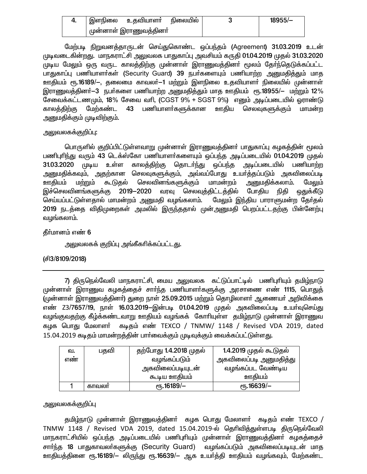| 4. | இளநிலை                 | உகவியாளா் | நிலையில் | $18955/-$ |
|----|------------------------|-----------|----------|-----------|
|    | முன்னாள் இராணுவத்தினா் |           |          |           |

மேற்படி நிறுவனத்தாருடன் செய்துகொண்ட ஒப்பந்தம் (Agreement) 31.03.2019 உடன் முடிவடைகின்றது. மாநகராட்சி அலுவலக பாதுகாப்பு அவசியம் கருதி 01.04.2019 முதல் 31.03.2020 .<br>முடிய மேலும் ஒரு வருட காலத்திற்கு முன்னாள் இராணுவத்தினா் மூலம் தோ்ந்தெடுக்கப்பட்ட பாதுகாப்பு பணியாளர்கள் (Security Guard) 39 நபர்களையும் பணியாற்ற அனுமதித்தும் மாத ஊதியம் ரூ.16189/—, தலைமை காவலா்—1 மற்றும் இளநிலை உதவியாளா் நிலையில் முன்னாள் இராணுவத்தினர்—3 நபர்களை பணியாற்ற அனுமதித்தும் மாத ஊதியம் ரூ.18955/— மற்றும் 12%  $\overline{\texttt{G}}$ சவைக்கட்டணமும், 18% சேவை வரி, (CGST 9% + SGST 9%) எனும் அடிப்படையில் ஓராண்டு காலத்திற்கு மேற்கண்ட 43 பணியாளர்களுக்கான ஊதிய செலவுகளுக்கும் மாமன்ற <u>அனுமதிக்கும் முடிவிற்கும்.</u>

#### அலுவலகக்குறிப்பு**:**

பொருளில் குறிப்பிட்டுள்ளவாறு முன்னாள் இராணுவத்தினா் பாதுகாப்பு கழகத்தின் மூலம் பணிபுரிந்து வரும் 43 டெக்ஸ்கோ பணியாளர்களையும் ஒப்பந்த அடிப்படையில் 01.04.2019 முதல் 31.03.2020 முடிய உள்ள காலத்திற்கு தொடர்ந்து ஒப்பந்த அடிப்படையில் பணியாற்ற அனுமதிக்கவும், அதற்கான செலவுகளுக்கும், அவ்வப்போது உயர்த்தப்படும் அகவிலைப்படி ஊதியம் மற்றும் கூடுதல் செலவினங்களுக்கும் மாமன்றம் <u>அனு</u>மதிக்கலாம். மேலும் இச்செலவினங்களுக்கு 2019–2020 வரவு செலவுத்திட்டத்தில் போதிய நிதி ஒதுக்கீடு செய்யப்பட்டுள்ளதால் மாமன்றம் அனுமதி வழங்கலாம். மேலும் இந்திய பாராளுமன்ற தேர்தல் 2019 நடத்தை விதிமுறைகள் அமலில் இருந்ததால் முன்அனுமதி பெறப்பட்டதற்கு பின்னேற்பு வழங்கலாம்.

தீர்மானம் எண் 6

அலுவலகக் குறிப்பு அங்கீகரிக்கப்பட்ட<u>த</u>ு.

## (Á3/8109/2018)

7) திருநெல்வேலி மாநகராட்சி, மைய அலுவலக கட்டுப்பாட்டில் பணிபுரியும் தமிழ்நாடு முன்னாள் இராணுவ கழகத்தைச் சார்ந்த பணியாளர்களுக்கு அரசாணை எண் 1115, பொதுத் (முன்னாள் இராணுவத்தினா்) துறை நாள் 25.09.2015 மற்றும் தொழிலாளா் ஆணையா் அறிவிக்கை எண் Z3/7657/19, நாள் 16.03.2019-இன்படி 01.04.2019 முதல் அகவிலைப்படி உயர்வுசெய்து வழங்குவதற்கு கீழ்க்கண்டவாறு ஊதியம் வழங்கக் கோரியுள்ள தமிழ்நாடு முன்னாள் இராணுவ கழக பொது மேலாளர் கடிதம் எண் TEXCO / TNMW/ 1148 / Revised VDA 2019, dated 15.04.2019 கடிதம் மாமன்றத்தின் பார்வைக்கும் முடிவுக்கும் வைக்கப்பட்டுள்ளது.

| வ.<br>எண | பதவி  | தற்போது 1.4.2018 முதல்<br>வழங்கப்படும்<br>அகவிலைப்படியுடன்<br><u>கூடிய ஊகியம்</u> | 1.4.2019 முதல் கூடுதல்<br>அகவிலைப்படி அனுமதித்து<br>வழங்கப்பட வேண்டிய<br>ஊகியம் |
|----------|-------|-----------------------------------------------------------------------------------|---------------------------------------------------------------------------------|
|          |       |                                                                                   |                                                                                 |
|          | காவலா | $\epsilon$ гђ.16189/-                                                             | <sub>Ր</sub> դ.16639/–                                                          |

## அலுவலகக்குறிப்பு

தமிழ்நாடு முன்னாள் இராணுவத்தினா் கழக பொது மேலாளா் கடிதம் எண் TEXCO / TNMW 1148 / Revised VDA 2019, dated 15.04.2019-ல் தெரிவித்துள்ளபடி திருநெல்வேலி மாநகராட்சியில் ஒப்பந்த அடிப்படையில் பணிபுரியும் முன்னாள் இராணுவத்தினா் கழகத்தைச் சார்ந்த 18 பாதுகாவலர்களுக்கு (Security Guard) வழங்கப்படும் அகவிலைப்படியுடன் மாத <u>ஊதியத்த</u>ினை ரூ.16189/- லிருந்து ரூ.16639/- ஆக உயர்த்தி ஊதியம் வழங்கவும், மேற்கண்ட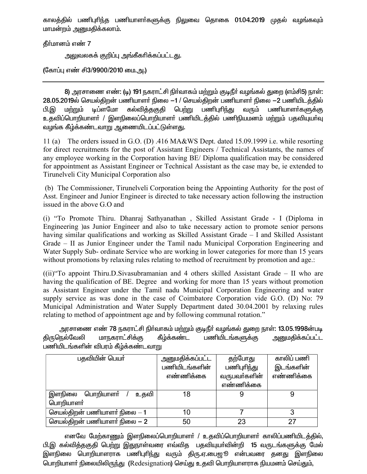காலத்தில் பணிபுரிந்த பணியாளர்களுக்கு நிலுவை தொகை 01.04.2019 முதல் வழங்கவும் மாமன்றம் அனுமதிக்கலாம்.

கீர்மானம் எண் 7

அலுவலகக் குறிப்பு அங்கீகரிக்கப்பட்டது.

(கோப்பு எண் சி3/9900/2010 மை.அ.)

8) அரசாணை எண்: (டி) 191 நகராட்சி நிர்வாகம் மற்றும் குடிநீர் வழங்கல் துறை (எம்சி5) நாள்: 28.05.2019ல் செயல்திறன் பணியாளா் நிலை —1 / செயல்திறன் பணியாளா் நிலை —2 பணியிடத்தில்<br>பி.இ மற்றும் டிப்ளமோ கல்வித்தகுதி பெற்று பணிபுாிந்து வரும் பணியாளா்களுக்கு பி.இ மற்றும் டிப்ளமோ கல்விக்குகுகி பெற்று பணிபுரிந்து வரும் பணியாளர்களுக்கு உதவிப்பொறியாளா் / இளநிலைப்பொறியாளா் பணியிடத்தில் பணிநியமனம் மற்றும் பதவியுயா்வு வழங்க கீழ்க்கண்டவாறு ஆணையிடப்பட்டுள்ளது.

11 (a) The orders issued in G.O. (D) .416 MA&WS Dept. dated 15.09.1999 i.e. while resorting for direct recruitments for the post of Assistant Engineers / Technical Assistants, the names of any employee working in the Corporation having BE/ Diploma qualification may be considered for appointment as Assistant Engineer or Technical Assistant as the case may be, ie extended to Tirunelveli City Municipal Corporation also

 (b) The Commissioner, Tirunelveli Corporation being the Appointing Authority for the post of Asst. Engineer and Junior Engineer is directed to take necessary action following the instruction issued in the above G.O and

(i) "To Promote Thiru. Dhanraj Sathyanathan , Skilled Assistant Grade - I (Diploma in Engineering )as Junior Engineer and also to take necessary action to promote senior persons having similar qualifications and working as Skilled Assistant Grade – I and Skilled Assistant Grade – II as Junior Engineer under the Tamil nadu Municipal Corporation Engineering and Water Supply Sub- ordinate Service who are working in lower categories for more than 15 years without promotions by relaxing rules relating to method of recruitment by promotion and age.:

 $(iii)$  To appoint Thiru.D.Sivasubramanian and 4 others skilled Assistant Grade – II who are having the qualification of BE. Degree and working for more than 15 years without promotion as Assistant Engineer under the Tamil nadu Municipal Corporation Engineering and water supply service as was done in the case of Coimbatore Corporation vide G.O. (D) No: 79 Municipal Administration and Water Supply Department dated 30.04.2001 by relaxing rules relating to method of appointment age and by following communal rotation."

அரசாணை எண் 78 நகராட்சி நிர்வாகம் மற்றும் குடிநீர் வழங்கல் துறை நாள்: 13.05.1998ன்படி கிருநெல்வேலி மாநகராட்சிக்கு கீழ்க்கண்ட பணியிடங்களுக்கு <u>அனு</u>மகிக்கப்பட்ட பணியிடங்களின் விபரம் கீழ்க்கண்டவாறு

| பதவியின் பெயர்                | அனுமதிக்கப்பட்ட | தற்போது      | காலிப் பணி |
|-------------------------------|-----------------|--------------|------------|
|                               | பணியிடங்களின்   | பணிபுரிந்து  | இடங்களின்  |
|                               | எண்ணிக்கை       | வருபவா்களின் | எண்ணிக்கை  |
|                               |                 | எண்ணிக்கை    |            |
| இளநிலை பொறியாளா்<br>உகவி      | 18              |              |            |
| பொறியாளர்                     |                 |              |            |
| செயல்திறன் பணியாளர் நிலை $-1$ | 10              |              |            |
| செயல்திறன் பணியாளர் நிலை $-2$ | 50              | 23           | 27         |

எனவே மேற்காணும் இளநிலைப்பொறியாளா் / உதவிப்பொறியாளா் காலிப்பணியிடத்தில், பி.இ கல்வித்தகுதி பெற்று இதுநாள்வரை எவ்வித பதவியுயா்வின்றி 15 வருடங்களுக்கு மேல் இளநிலை பொறியாளராக பணிபுரிந்து வரும் திரு.ஏ.பைஜூ என்பவரை தனது இளநிலை பொறியாளர் நிலையிலிருந்து (Redesignation) செய்து உதவி பொறியாளராக நியமனம் செய்தும்,